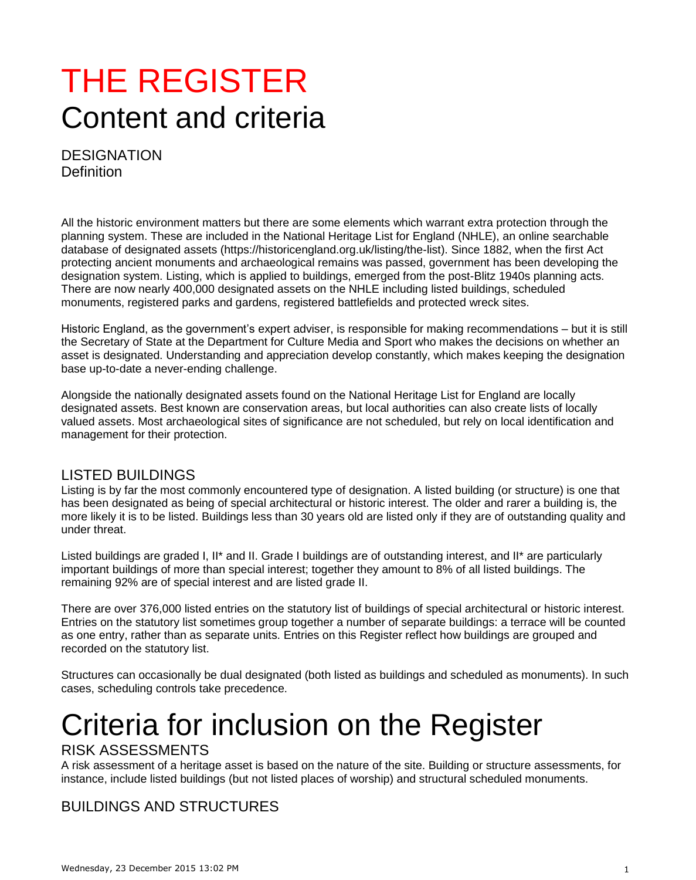## THE REGISTER Content and criteria

**DESIGNATION Definition** 

All the historic environment matters but there are some elements which warrant extra protection through the planning system. These are included in the National Heritage List for England (NHLE), an online searchable database of designated assets (https://historicengland.org.uk/listing/the-list). Since 1882, when the first Act protecting ancient monuments and archaeological remains was passed, government has been developing the designation system. Listing, which is applied to buildings, emerged from the post-Blitz 1940s planning acts. There are now nearly 400,000 designated assets on the NHLE including listed buildings, scheduled monuments, registered parks and gardens, registered battlefields and protected wreck sites.

Historic England, as the government's expert adviser, is responsible for making recommendations – but it is still the Secretary of State at the Department for Culture Media and Sport who makes the decisions on whether an asset is designated. Understanding and appreciation develop constantly, which makes keeping the designation base up-to-date a never-ending challenge.

Alongside the nationally designated assets found on the National Heritage List for England are locally designated assets. Best known are conservation areas, but local authorities can also create lists of locally valued assets. Most archaeological sites of significance are not scheduled, but rely on local identification and management for their protection.

#### LISTED BUILDINGS

Listing is by far the most commonly encountered type of designation. A listed building (or structure) is one that has been designated as being of special architectural or historic interest. The older and rarer a building is, the more likely it is to be listed. Buildings less than 30 years old are listed only if they are of outstanding quality and under threat.

Listed buildings are graded I, II<sup>\*</sup> and II. Grade I buildings are of outstanding interest, and II<sup>\*</sup> are particularly important buildings of more than special interest; together they amount to 8% of all listed buildings. The remaining 92% are of special interest and are listed grade II.

There are over 376,000 listed entries on the statutory list of buildings of special architectural or historic interest. Entries on the statutory list sometimes group together a number of separate buildings: a terrace will be counted as one entry, rather than as separate units. Entries on this Register reflect how buildings are grouped and recorded on the statutory list.

Structures can occasionally be dual designated (both listed as buildings and scheduled as monuments). In such cases, scheduling controls take precedence.

# Criteria for inclusion on the Register

#### RISK ASSESSMENTS

A risk assessment of a heritage asset is based on the nature of the site. Building or structure assessments, for instance, include listed buildings (but not listed places of worship) and structural scheduled monuments.

### BUILDINGS AND STRUCTURES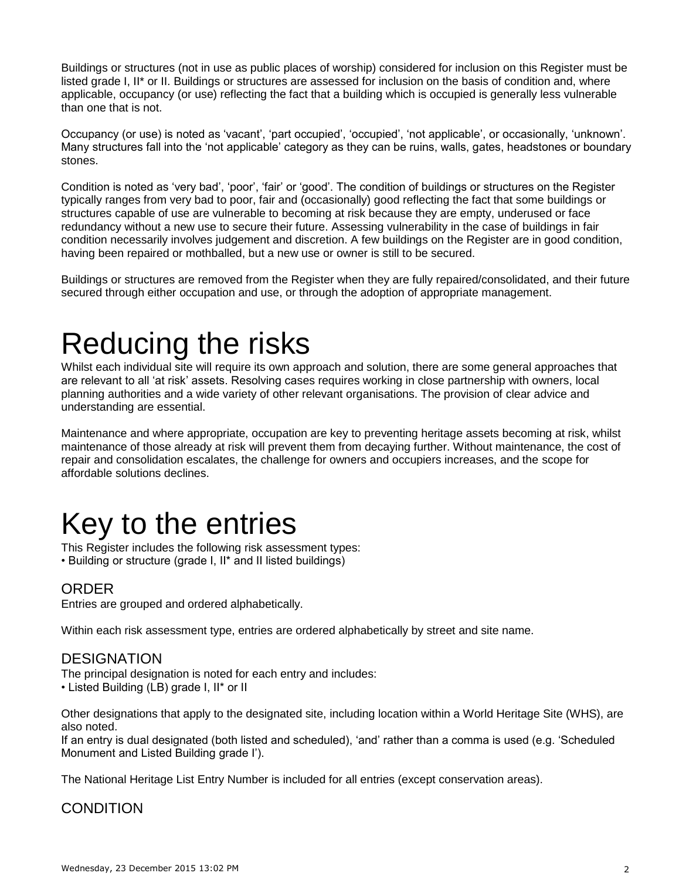Buildings or structures (not in use as public places of worship) considered for inclusion on this Register must be listed grade I, II\* or II. Buildings or structures are assessed for inclusion on the basis of condition and, where applicable, occupancy (or use) reflecting the fact that a building which is occupied is generally less vulnerable than one that is not.

Occupancy (or use) is noted as 'vacant', 'part occupied', 'occupied', 'not applicable', or occasionally, 'unknown'. Many structures fall into the 'not applicable' category as they can be ruins, walls, gates, headstones or boundary stones.

Condition is noted as 'very bad', 'poor', 'fair' or 'good'. The condition of buildings or structures on the Register typically ranges from very bad to poor, fair and (occasionally) good reflecting the fact that some buildings or structures capable of use are vulnerable to becoming at risk because they are empty, underused or face redundancy without a new use to secure their future. Assessing vulnerability in the case of buildings in fair condition necessarily involves judgement and discretion. A few buildings on the Register are in good condition, having been repaired or mothballed, but a new use or owner is still to be secured.

Buildings or structures are removed from the Register when they are fully repaired/consolidated, and their future secured through either occupation and use, or through the adoption of appropriate management.

### Reducing the risks

Whilst each individual site will require its own approach and solution, there are some general approaches that are relevant to all 'at risk' assets. Resolving cases requires working in close partnership with owners, local planning authorities and a wide variety of other relevant organisations. The provision of clear advice and understanding are essential.

Maintenance and where appropriate, occupation are key to preventing heritage assets becoming at risk, whilst maintenance of those already at risk will prevent them from decaying further. Without maintenance, the cost of repair and consolidation escalates, the challenge for owners and occupiers increases, and the scope for affordable solutions declines.

## Key to the entries

This Register includes the following risk assessment types: • Building or structure (grade I, II\* and II listed buildings)

#### ORDER

Entries are grouped and ordered alphabetically.

Within each risk assessment type, entries are ordered alphabetically by street and site name.

#### **DESIGNATION**

The principal designation is noted for each entry and includes:

• Listed Building (LB) grade I, II\* or II

Other designations that apply to the designated site, including location within a World Heritage Site (WHS), are also noted.

If an entry is dual designated (both listed and scheduled), 'and' rather than a comma is used (e.g. 'Scheduled Monument and Listed Building grade I').

The National Heritage List Entry Number is included for all entries (except conservation areas).

#### **CONDITION**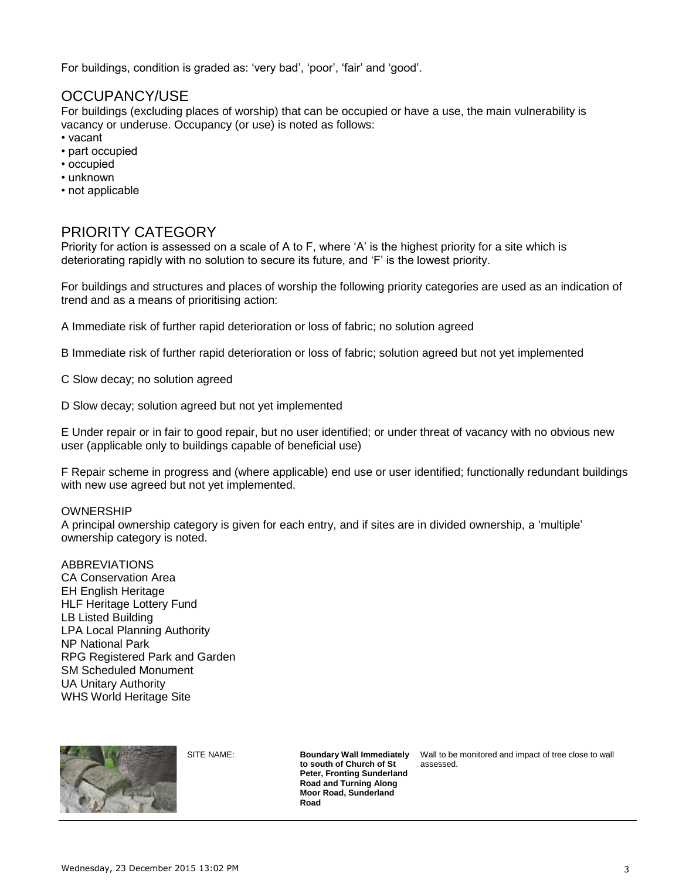For buildings, condition is graded as: 'very bad', 'poor', 'fair' and 'good'.

#### OCCUPANCY/USE

For buildings (excluding places of worship) that can be occupied or have a use, the main vulnerability is vacancy or underuse. Occupancy (or use) is noted as follows:

- vacant
- part occupied
- occupied
- unknown
- not applicable

#### PRIORITY CATEGORY

Priority for action is assessed on a scale of A to F, where 'A' is the highest priority for a site which is deteriorating rapidly with no solution to secure its future, and 'F' is the lowest priority.

For buildings and structures and places of worship the following priority categories are used as an indication of trend and as a means of prioritising action:

A Immediate risk of further rapid deterioration or loss of fabric; no solution agreed

B Immediate risk of further rapid deterioration or loss of fabric; solution agreed but not yet implemented

C Slow decay; no solution agreed

D Slow decay; solution agreed but not yet implemented

E Under repair or in fair to good repair, but no user identified; or under threat of vacancy with no obvious new user (applicable only to buildings capable of beneficial use)

F Repair scheme in progress and (where applicable) end use or user identified; functionally redundant buildings with new use agreed but not yet implemented.

#### OWNERSHIP

A principal ownership category is given for each entry, and if sites are in divided ownership, a 'multiple' ownership category is noted.

ABBREVIATIONS CA Conservation Area EH English Heritage HLF Heritage Lottery Fund LB Listed Building LPA Local Planning Authority NP National Park RPG Registered Park and Garden SM Scheduled Monument UA Unitary Authority WHS World Heritage Site



**to south of Church of St Peter, Fronting Sunderland Road and Turning Along Moor Road, Sunderland Road**

SITE NAME: **Boundary Wall Immediately**  Wall to be monitored and impact of tree close to wall assessed.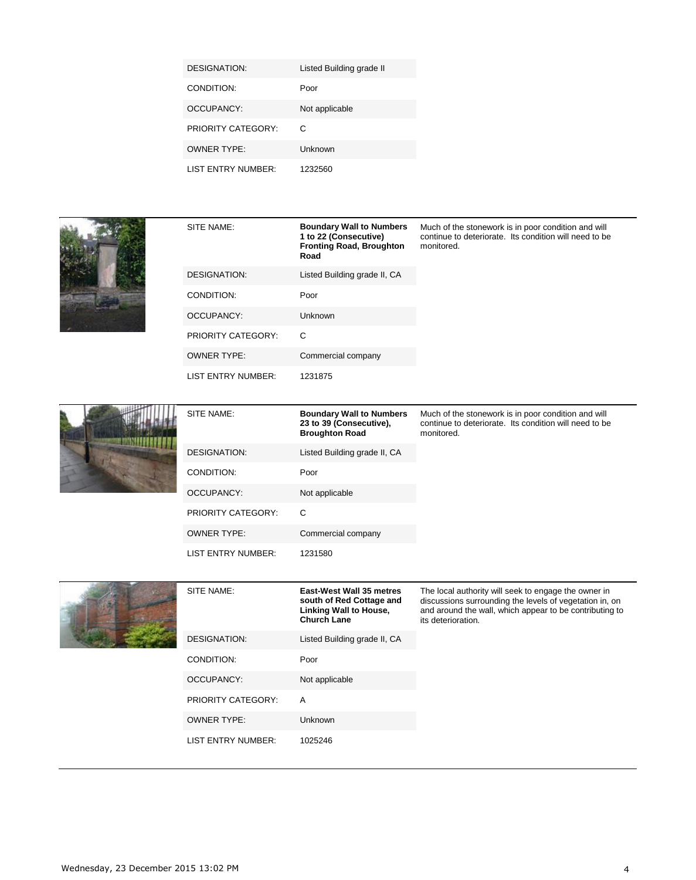| DESIGNATION:       | Listed Building grade II |
|--------------------|--------------------------|
| CONDITION:         | Poor                     |
| OCCUPANCY:         | Not applicable           |
| PRIORITY CATEGORY: | C                        |
| OWNER TYPE:        | Unknown                  |
| LIST ENTRY NUMBER: | 1232560                  |



| SITE NAME:         | <b>Boundary Wall to Numbers</b><br>1 to 22 (Consecutive)<br><b>Fronting Road, Broughton</b><br>Road | Much of the stonework is in poor condition and will<br>continue to deteriorate. Its condition will need to be<br>monitored. |
|--------------------|-----------------------------------------------------------------------------------------------------|-----------------------------------------------------------------------------------------------------------------------------|
| DESIGNATION:       | Listed Building grade II, CA                                                                        |                                                                                                                             |
| CONDITION:         | Poor                                                                                                |                                                                                                                             |
| OCCUPANCY:         | Unknown                                                                                             |                                                                                                                             |
| PRIORITY CATEGORY: | C                                                                                                   |                                                                                                                             |
| <b>OWNER TYPE:</b> | Commercial company                                                                                  |                                                                                                                             |
| LIST ENTRY NUMBER: | 1231875                                                                                             |                                                                                                                             |



| SITE NAME:         | <b>Boundary Wall to Numbers</b><br>23 to 39 (Consecutive),<br><b>Broughton Road</b> | Much of the stonework is in poor condition and will<br>continue to deteriorate. Its condition will need to be<br>monitored. |
|--------------------|-------------------------------------------------------------------------------------|-----------------------------------------------------------------------------------------------------------------------------|
| DESIGNATION:       | Listed Building grade II, CA                                                        |                                                                                                                             |
| CONDITION:         | Poor                                                                                |                                                                                                                             |
| <b>OCCUPANCY:</b>  | Not applicable                                                                      |                                                                                                                             |
| PRIORITY CATEGORY: | C                                                                                   |                                                                                                                             |
| <b>OWNER TYPE:</b> | Commercial company                                                                  |                                                                                                                             |
| LIST ENTRY NUMBER: | 1231580                                                                             |                                                                                                                             |



|  | SITE NAME:                | East-West Wall 35 metres<br>south of Red Cottage and<br><b>Linking Wall to House,</b><br><b>Church Lane</b> | The local authority will seek to engage the owner in<br>discussions surrounding the levels of vegetation in, on<br>and around the wall, which appear to be contributing to<br>its deterioration. |
|--|---------------------------|-------------------------------------------------------------------------------------------------------------|--------------------------------------------------------------------------------------------------------------------------------------------------------------------------------------------------|
|  | DESIGNATION:              | Listed Building grade II, CA                                                                                |                                                                                                                                                                                                  |
|  | CONDITION:                | Poor                                                                                                        |                                                                                                                                                                                                  |
|  | OCCUPANCY:                | Not applicable                                                                                              |                                                                                                                                                                                                  |
|  | <b>PRIORITY CATEGORY:</b> | A                                                                                                           |                                                                                                                                                                                                  |
|  | <b>OWNER TYPE:</b>        | Unknown                                                                                                     |                                                                                                                                                                                                  |
|  | <b>LIST ENTRY NUMBER:</b> | 1025246                                                                                                     |                                                                                                                                                                                                  |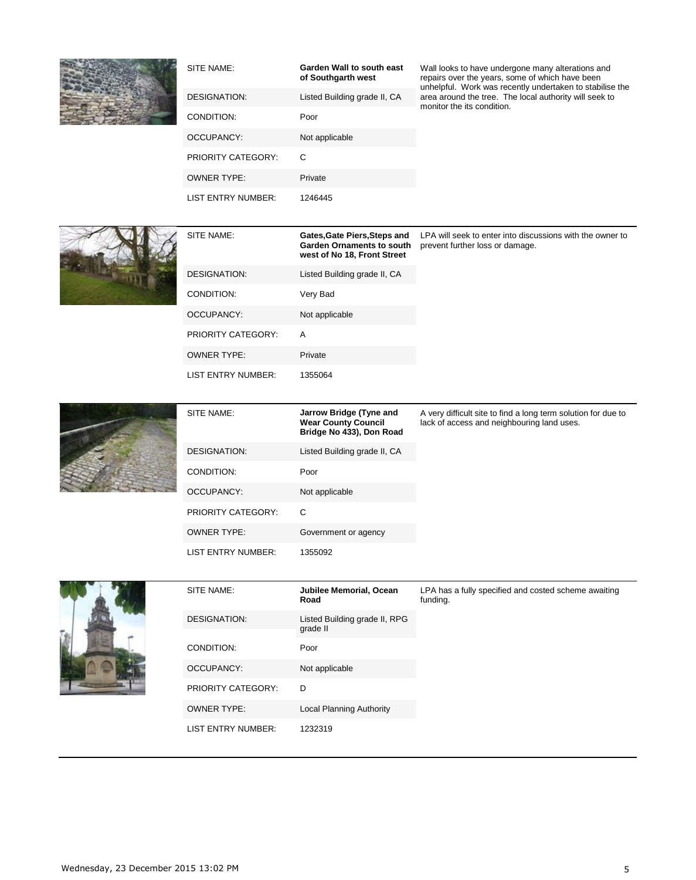

| SITE NAME:                | Garden Wall to south east<br>of Southgarth west | Wall looks to have undergone many alterations and<br>repairs over the years, some of which have been<br>unhelpful. Work was recently undertaken to stabilise the |
|---------------------------|-------------------------------------------------|------------------------------------------------------------------------------------------------------------------------------------------------------------------|
| DESIGNATION:              | Listed Building grade II, CA                    | area around the tree. The local authority will seek to<br>monitor the its condition.                                                                             |
| CONDITION:                | Poor                                            |                                                                                                                                                                  |
| OCCUPANCY:                | Not applicable                                  |                                                                                                                                                                  |
| <b>PRIORITY CATEGORY:</b> | C                                               |                                                                                                                                                                  |
| <b>OWNER TYPE:</b>        | Private                                         |                                                                                                                                                                  |
| LIST ENTRY NUMBER:        | 1246445                                         |                                                                                                                                                                  |



| SITE NAME:                | Gates, Gate Piers, Steps and<br><b>Garden Ornaments to south</b><br>west of No 18, Front Street | LPA will seek to enter into discussions with the owner to<br>prevent further loss or damage. |
|---------------------------|-------------------------------------------------------------------------------------------------|----------------------------------------------------------------------------------------------|
| DESIGNATION:              | Listed Building grade II, CA                                                                    |                                                                                              |
| CONDITION:                | Very Bad                                                                                        |                                                                                              |
| OCCUPANCY:                | Not applicable                                                                                  |                                                                                              |
| <b>PRIORITY CATEGORY:</b> | A                                                                                               |                                                                                              |
| <b>OWNER TYPE:</b>        | Private                                                                                         |                                                                                              |
| LIST ENTRY NUMBER:        | 1355064                                                                                         |                                                                                              |



| SITE NAME:                | Jarrow Bridge (Tyne and<br><b>Wear County Council</b><br>Bridge No 433), Don Road | A very difficult site to find a long term solution for due to<br>lack of access and neighbouring land uses. |
|---------------------------|-----------------------------------------------------------------------------------|-------------------------------------------------------------------------------------------------------------|
| DESIGNATION:              | Listed Building grade II, CA                                                      |                                                                                                             |
| CONDITION:                | Poor                                                                              |                                                                                                             |
| OCCUPANCY:                | Not applicable                                                                    |                                                                                                             |
| <b>PRIORITY CATEGORY:</b> | C                                                                                 |                                                                                                             |
| <b>OWNER TYPE:</b>        | Government or agency                                                              |                                                                                                             |
| LIST ENTRY NUMBER:        | 1355092                                                                           |                                                                                                             |



| SITE NAME:                | Jubilee Memorial, Ocean<br>Road           | LPA has a fully specified and costed scheme awaiting<br>funding. |
|---------------------------|-------------------------------------------|------------------------------------------------------------------|
| DESIGNATION:              | Listed Building grade II, RPG<br>grade II |                                                                  |
| CONDITION:                | Poor                                      |                                                                  |
| OCCUPANCY:                | Not applicable                            |                                                                  |
| <b>PRIORITY CATEGORY:</b> | D                                         |                                                                  |
| <b>OWNER TYPE:</b>        | Local Planning Authority                  |                                                                  |
| LIST ENTRY NUMBER:        | 1232319                                   |                                                                  |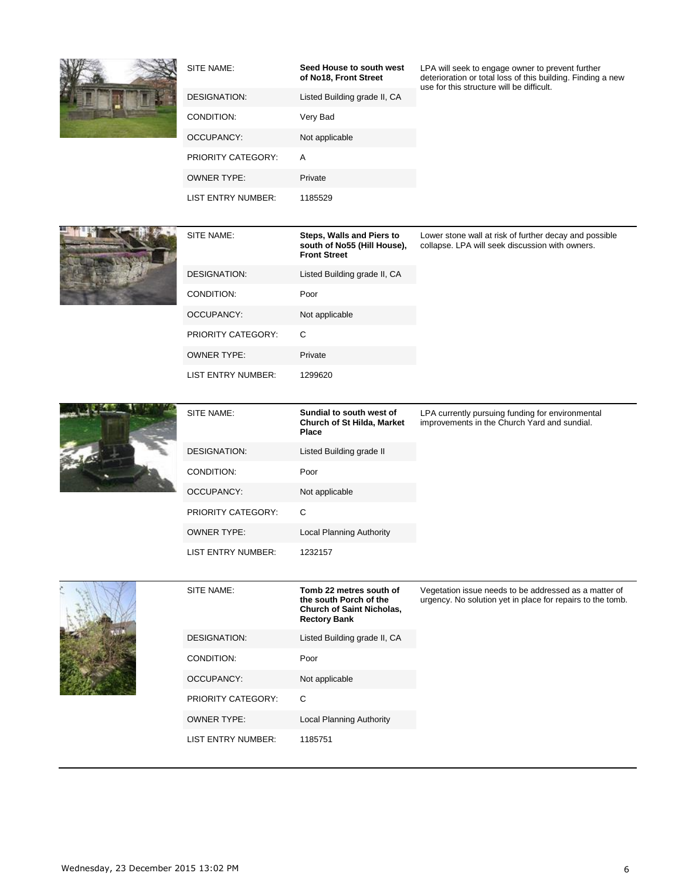

| SITE NAME:                | Seed House to south west<br>of No18, Front Street | LPA will seek to engage owner to prevent further<br>deterioration or total loss of this building. Finding a new<br>use for this structure will be difficult. |
|---------------------------|---------------------------------------------------|--------------------------------------------------------------------------------------------------------------------------------------------------------------|
| DESIGNATION:              | Listed Building grade II, CA                      |                                                                                                                                                              |
| CONDITION:                | Very Bad                                          |                                                                                                                                                              |
| OCCUPANCY:                | Not applicable                                    |                                                                                                                                                              |
| <b>PRIORITY CATEGORY:</b> | A                                                 |                                                                                                                                                              |
| <b>OWNER TYPE:</b>        | Private                                           |                                                                                                                                                              |

LIST ENTRY NUMBER: 1185529



| SITE NAME:                | Steps, Walls and Piers to<br>south of No55 (Hill House),<br><b>Front Street</b> | Lower stone wall at risk of further decay and possible<br>collapse. LPA will seek discussion with owners. |
|---------------------------|---------------------------------------------------------------------------------|-----------------------------------------------------------------------------------------------------------|
| DESIGNATION:              | Listed Building grade II, CA                                                    |                                                                                                           |
| CONDITION:                | Poor                                                                            |                                                                                                           |
| OCCUPANCY:                | Not applicable                                                                  |                                                                                                           |
| <b>PRIORITY CATEGORY:</b> | C                                                                               |                                                                                                           |
| <b>OWNER TYPE:</b>        | Private                                                                         |                                                                                                           |
| LIST ENTRY NUMBER:        | 1299620                                                                         |                                                                                                           |



| SITE NAME:                | Sundial to south west of<br><b>Church of St Hilda, Market</b><br><b>Place</b> | LPA currently pursuing funding for environmental<br>improvements in the Church Yard and sundial. |
|---------------------------|-------------------------------------------------------------------------------|--------------------------------------------------------------------------------------------------|
| <b>DESIGNATION:</b>       | Listed Building grade II                                                      |                                                                                                  |
| CONDITION:                | Poor                                                                          |                                                                                                  |
| OCCUPANCY:                | Not applicable                                                                |                                                                                                  |
| <b>PRIORITY CATEGORY:</b> | C                                                                             |                                                                                                  |
| <b>OWNER TYPE:</b>        | <b>Local Planning Authority</b>                                               |                                                                                                  |
| LIST ENTRY NUMBER:        | 1232157                                                                       |                                                                                                  |



| SITE NAME:                | Tomb 22 metres south of<br>the south Porch of the<br><b>Church of Saint Nicholas,</b><br><b>Rectory Bank</b> | Vegetation issue needs to be addressed as a matter of<br>urgency. No solution yet in place for repairs to the tomb. |
|---------------------------|--------------------------------------------------------------------------------------------------------------|---------------------------------------------------------------------------------------------------------------------|
| DESIGNATION:              | Listed Building grade II, CA                                                                                 |                                                                                                                     |
| CONDITION:                | Poor                                                                                                         |                                                                                                                     |
| OCCUPANCY:                | Not applicable                                                                                               |                                                                                                                     |
| <b>PRIORITY CATEGORY:</b> | C                                                                                                            |                                                                                                                     |
| OWNER TYPE:               | Local Planning Authority                                                                                     |                                                                                                                     |
| LIST ENTRY NUMBER:        | 1185751                                                                                                      |                                                                                                                     |